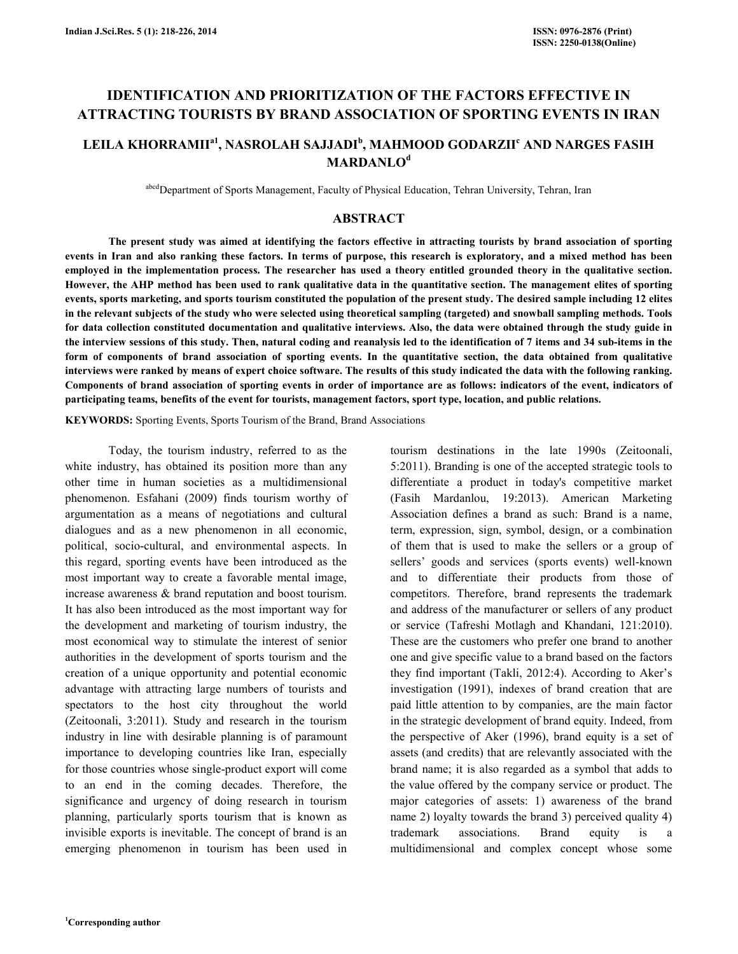# IDENTIFICATION AND PRIORITIZATION OF THE FACTORS EFFECTIVE IN ATTRACTING TOURISTS BY BRAND ASSOCIATION OF SPORTING EVENTS IN IRAN

# LEILA KHORRAMII<sup>a1</sup>, NASROLAH SAJJADI<sup>b</sup>, MAHMOOD GODARZII<sup>c</sup> AND NARGES FASIH **MARDANLO**<sup>d</sup>

abcd Department of Sports Management, Faculty of Physical Education, Tehran University, Tehran, Iran

#### ABSTRACT

 The present study was aimed at identifying the factors effective in attracting tourists by brand association of sporting events in Iran and also ranking these factors. In terms of purpose, this research is exploratory, and a mixed method has been employed in the implementation process. The researcher has used a theory entitled grounded theory in the qualitative section. However, the AHP method has been used to rank qualitative data in the quantitative section. The management elites of sporting events, sports marketing, and sports tourism constituted the population of the present study. The desired sample including 12 elites in the relevant subjects of the study who were selected using theoretical sampling (targeted) and snowball sampling methods. Tools for data collection constituted documentation and qualitative interviews. Also, the data were obtained through the study guide in the interview sessions of this study. Then, natural coding and reanalysis led to the identification of 7 items and 34 sub-items in the form of components of brand association of sporting events. In the quantitative section, the data obtained from qualitative interviews were ranked by means of expert choice software. The results of this study indicated the data with the following ranking. Components of brand association of sporting events in order of importance are as follows: indicators of the event, indicators of participating teams, benefits of the event for tourists, management factors, sport type, location, and public relations.

KEYWORDS: Sporting Events, Sports Tourism of the Brand, Brand Associations

 Today, the tourism industry, referred to as the white industry, has obtained its position more than any other time in human societies as a multidimensional phenomenon. Esfahani (2009) finds tourism worthy of argumentation as a means of negotiations and cultural dialogues and as a new phenomenon in all economic, political, socio-cultural, and environmental aspects. In this regard, sporting events have been introduced as the most important way to create a favorable mental image, increase awareness & brand reputation and boost tourism. It has also been introduced as the most important way for the development and marketing of tourism industry, the most economical way to stimulate the interest of senior authorities in the development of sports tourism and the creation of a unique opportunity and potential economic advantage with attracting large numbers of tourists and spectators to the host city throughout the world (Zeitoonali, 3:2011). Study and research in the tourism industry in line with desirable planning is of paramount importance to developing countries like Iran, especially for those countries whose single-product export will come to an end in the coming decades. Therefore, the significance and urgency of doing research in tourism planning, particularly sports tourism that is known as invisible exports is inevitable. The concept of brand is an emerging phenomenon in tourism has been used in tourism destinations in the late 1990s (Zeitoonali, 5:2011). Branding is one of the accepted strategic tools to differentiate a product in today's competitive market (Fasih Mardanlou, 19:2013). American Marketing Association defines a brand as such: Brand is a name, term, expression, sign, symbol, design, or a combination of them that is used to make the sellers or a group of sellers' goods and services (sports events) well-known and to differentiate their products from those of competitors. Therefore, brand represents the trademark and address of the manufacturer or sellers of any product or service (Tafreshi Motlagh and Khandani, 121:2010). These are the customers who prefer one brand to another one and give specific value to a brand based on the factors they find important (Takli, 2012:4). According to Aker's investigation (1991), indexes of brand creation that are paid little attention to by companies, are the main factor in the strategic development of brand equity. Indeed, from the perspective of Aker (1996), brand equity is a set of assets (and credits) that are relevantly associated with the brand name; it is also regarded as a symbol that adds to the value offered by the company service or product. The major categories of assets: 1) awareness of the brand name 2) loyalty towards the brand 3) perceived quality 4) trademark associations. Brand equity is a multidimensional and complex concept whose some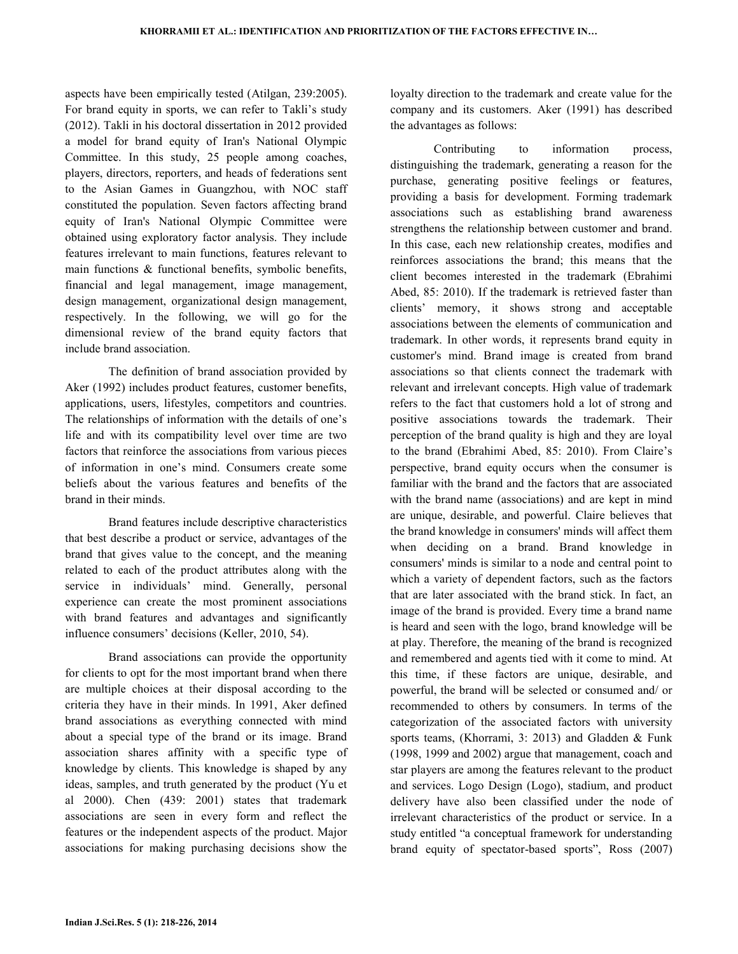aspects have been empirically tested (Atilgan, 239:2005). For brand equity in sports, we can refer to Takli's study (2012). Takli in his doctoral dissertation in 2012 provided a model for brand equity of Iran's National Olympic Committee. In this study, 25 people among coaches, players, directors, reporters, and heads of federations sent to the Asian Games in Guangzhou, with NOC staff constituted the population. Seven factors affecting brand equity of Iran's National Olympic Committee were obtained using exploratory factor analysis. They include features irrelevant to main functions, features relevant to main functions & functional benefits, symbolic benefits, financial and legal management, image management, design management, organizational design management, respectively. In the following, we will go for the dimensional review of the brand equity factors that include brand association.

 The definition of brand association provided by Aker (1992) includes product features, customer benefits, applications, users, lifestyles, competitors and countries. The relationships of information with the details of one's life and with its compatibility level over time are two factors that reinforce the associations from various pieces of information in one's mind. Consumers create some beliefs about the various features and benefits of the brand in their minds.

 Brand features include descriptive characteristics that best describe a product or service, advantages of the brand that gives value to the concept, and the meaning related to each of the product attributes along with the service in individuals' mind. Generally, personal experience can create the most prominent associations with brand features and advantages and significantly influence consumers' decisions (Keller, 2010, 54).

 Brand associations can provide the opportunity for clients to opt for the most important brand when there are multiple choices at their disposal according to the criteria they have in their minds. In 1991, Aker defined brand associations as everything connected with mind about a special type of the brand or its image. Brand association shares affinity with a specific type of knowledge by clients. This knowledge is shaped by any ideas, samples, and truth generated by the product (Yu et al 2000). Chen (439: 2001) states that trademark associations are seen in every form and reflect the features or the independent aspects of the product. Major associations for making purchasing decisions show the

loyalty direction to the trademark and create value for the company and its customers. Aker (1991) has described the advantages as follows:

 Contributing to information process, distinguishing the trademark, generating a reason for the purchase, generating positive feelings or features, providing a basis for development. Forming trademark associations such as establishing brand awareness strengthens the relationship between customer and brand. In this case, each new relationship creates, modifies and reinforces associations the brand; this means that the client becomes interested in the trademark (Ebrahimi Abed, 85: 2010). If the trademark is retrieved faster than clients' memory, it shows strong and acceptable associations between the elements of communication and trademark. In other words, it represents brand equity in customer's mind. Brand image is created from brand associations so that clients connect the trademark with relevant and irrelevant concepts. High value of trademark refers to the fact that customers hold a lot of strong and positive associations towards the trademark. Their perception of the brand quality is high and they are loyal to the brand (Ebrahimi Abed, 85: 2010). From Claire's perspective, brand equity occurs when the consumer is familiar with the brand and the factors that are associated with the brand name (associations) and are kept in mind are unique, desirable, and powerful. Claire believes that the brand knowledge in consumers' minds will affect them when deciding on a brand. Brand knowledge in consumers' minds is similar to a node and central point to which a variety of dependent factors, such as the factors that are later associated with the brand stick. In fact, an image of the brand is provided. Every time a brand name is heard and seen with the logo, brand knowledge will be at play. Therefore, the meaning of the brand is recognized and remembered and agents tied with it come to mind. At this time, if these factors are unique, desirable, and powerful, the brand will be selected or consumed and/ or recommended to others by consumers. In terms of the categorization of the associated factors with university sports teams, (Khorrami, 3: 2013) and Gladden & Funk (1998, 1999 and 2002) argue that management, coach and star players are among the features relevant to the product and services. Logo Design (Logo), stadium, and product delivery have also been classified under the node of irrelevant characteristics of the product or service. In a study entitled "a conceptual framework for understanding brand equity of spectator-based sports", Ross (2007)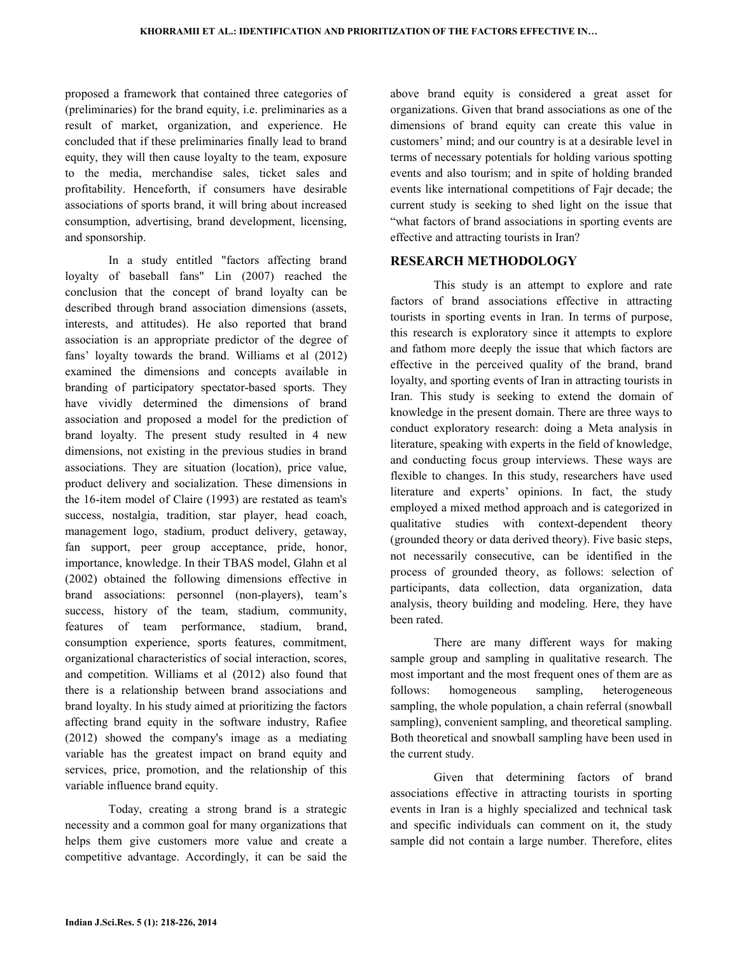proposed a framework that contained three categories of (preliminaries) for the brand equity, i.e. preliminaries as a result of market, organization, and experience. He concluded that if these preliminaries finally lead to brand equity, they will then cause loyalty to the team, exposure to the media, merchandise sales, ticket sales and profitability. Henceforth, if consumers have desirable associations of sports brand, it will bring about increased consumption, advertising, brand development, licensing, and sponsorship.

 In a study entitled "factors affecting brand loyalty of baseball fans" Lin (2007) reached the conclusion that the concept of brand loyalty can be described through brand association dimensions (assets, interests, and attitudes). He also reported that brand association is an appropriate predictor of the degree of fans' loyalty towards the brand. Williams et al (2012) examined the dimensions and concepts available in branding of participatory spectator-based sports. They have vividly determined the dimensions of brand association and proposed a model for the prediction of brand loyalty. The present study resulted in 4 new dimensions, not existing in the previous studies in brand associations. They are situation (location), price value, product delivery and socialization. These dimensions in the 16-item model of Claire (1993) are restated as team's success, nostalgia, tradition, star player, head coach, management logo, stadium, product delivery, getaway, fan support, peer group acceptance, pride, honor, importance, knowledge. In their TBAS model, Glahn et al (2002) obtained the following dimensions effective in brand associations: personnel (non-players), team's success, history of the team, stadium, community, features of team performance, stadium, brand, consumption experience, sports features, commitment, organizational characteristics of social interaction, scores, and competition. Williams et al (2012) also found that there is a relationship between brand associations and brand loyalty. In his study aimed at prioritizing the factors affecting brand equity in the software industry, Rafiee (2012) showed the company's image as a mediating variable has the greatest impact on brand equity and services, price, promotion, and the relationship of this variable influence brand equity.

 Today, creating a strong brand is a strategic necessity and a common goal for many organizations that helps them give customers more value and create a competitive advantage. Accordingly, it can be said the above brand equity is considered a great asset for organizations. Given that brand associations as one of the dimensions of brand equity can create this value in customers' mind; and our country is at a desirable level in terms of necessary potentials for holding various spotting events and also tourism; and in spite of holding branded events like international competitions of Fajr decade; the current study is seeking to shed light on the issue that "what factors of brand associations in sporting events are effective and attracting tourists in Iran?

## RESEARCH METHODOLOGY

 This study is an attempt to explore and rate factors of brand associations effective in attracting tourists in sporting events in Iran. In terms of purpose, this research is exploratory since it attempts to explore and fathom more deeply the issue that which factors are effective in the perceived quality of the brand, brand loyalty, and sporting events of Iran in attracting tourists in Iran. This study is seeking to extend the domain of knowledge in the present domain. There are three ways to conduct exploratory research: doing a Meta analysis in literature, speaking with experts in the field of knowledge, and conducting focus group interviews. These ways are flexible to changes. In this study, researchers have used literature and experts' opinions. In fact, the study employed a mixed method approach and is categorized in qualitative studies with context-dependent theory (grounded theory or data derived theory). Five basic steps, not necessarily consecutive, can be identified in the process of grounded theory, as follows: selection of participants, data collection, data organization, data analysis, theory building and modeling. Here, they have been rated.

 There are many different ways for making sample group and sampling in qualitative research. The most important and the most frequent ones of them are as follows: homogeneous sampling, heterogeneous sampling, the whole population, a chain referral (snowball sampling), convenient sampling, and theoretical sampling. Both theoretical and snowball sampling have been used in the current study.

 Given that determining factors of brand associations effective in attracting tourists in sporting events in Iran is a highly specialized and technical task and specific individuals can comment on it, the study sample did not contain a large number. Therefore, elites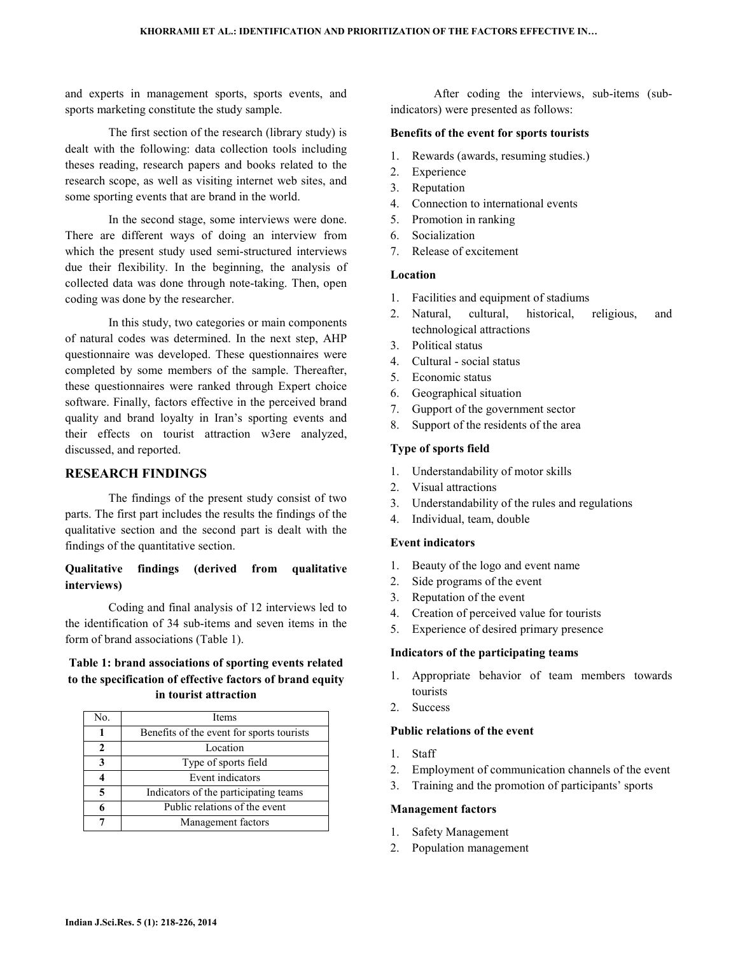and experts in management sports, sports events, and sports marketing constitute the study sample.

 The first section of the research (library study) is dealt with the following: data collection tools including theses reading, research papers and books related to the research scope, as well as visiting internet web sites, and some sporting events that are brand in the world.

 In the second stage, some interviews were done. There are different ways of doing an interview from which the present study used semi-structured interviews due their flexibility. In the beginning, the analysis of collected data was done through note-taking. Then, open coding was done by the researcher.

 In this study, two categories or main components of natural codes was determined. In the next step, AHP questionnaire was developed. These questionnaires were completed by some members of the sample. Thereafter, these questionnaires were ranked through Expert choice software. Finally, factors effective in the perceived brand quality and brand loyalty in Iran's sporting events and their effects on tourist attraction w3ere analyzed, discussed, and reported.

## RESEARCH FINDINGS

 The findings of the present study consist of two parts. The first part includes the results the findings of the qualitative section and the second part is dealt with the findings of the quantitative section.

## Qualitative findings (derived from qualitative interviews)

 Coding and final analysis of 12 interviews led to the identification of 34 sub-items and seven items in the form of brand associations (Table 1).

## Table 1: brand associations of sporting events related to the specification of effective factors of brand equity in tourist attraction

| No.            | <b>Items</b>                              |
|----------------|-------------------------------------------|
|                | Benefits of the event for sports tourists |
| $\mathfrak{D}$ | Location                                  |
|                | Type of sports field                      |
|                | Event indicators                          |
| 5              | Indicators of the participating teams     |
|                | Public relations of the event             |
|                | Management factors                        |

 After coding the interviews, sub-items (subindicators) were presented as follows:

#### Benefits of the event for sports tourists

- 1. Rewards (awards, resuming studies.)
- 2. Experience
- 3. Reputation
- 4. Connection to international events
- 5. Promotion in ranking
- 6. Socialization
- 7. Release of excitement

## Location

- 1. Facilities and equipment of stadiums
- 2. Natural, cultural, historical, religious, and technological attractions
- 3. Political status
- 4. Cultural social status
- 5. Economic status
- 6. Geographical situation
- 7. Gupport of the government sector
- 8. Support of the residents of the area

#### Type of sports field

- 1. Understandability of motor skills
- 2. Visual attractions
- 3. Understandability of the rules and regulations
- 4. Individual, team, double

### Event indicators

- 1. Beauty of the logo and event name
- 2. Side programs of the event
- 3. Reputation of the event
- 4. Creation of perceived value for tourists
- 5. Experience of desired primary presence

#### Indicators of the participating teams

- 1. Appropriate behavior of team members towards tourists
- 2. Success

#### Public relations of the event

- 1. Staff
- 2. Employment of communication channels of the event
- 3. Training and the promotion of participants' sports

#### Management factors

- 1. Safety Management
- 2. Population management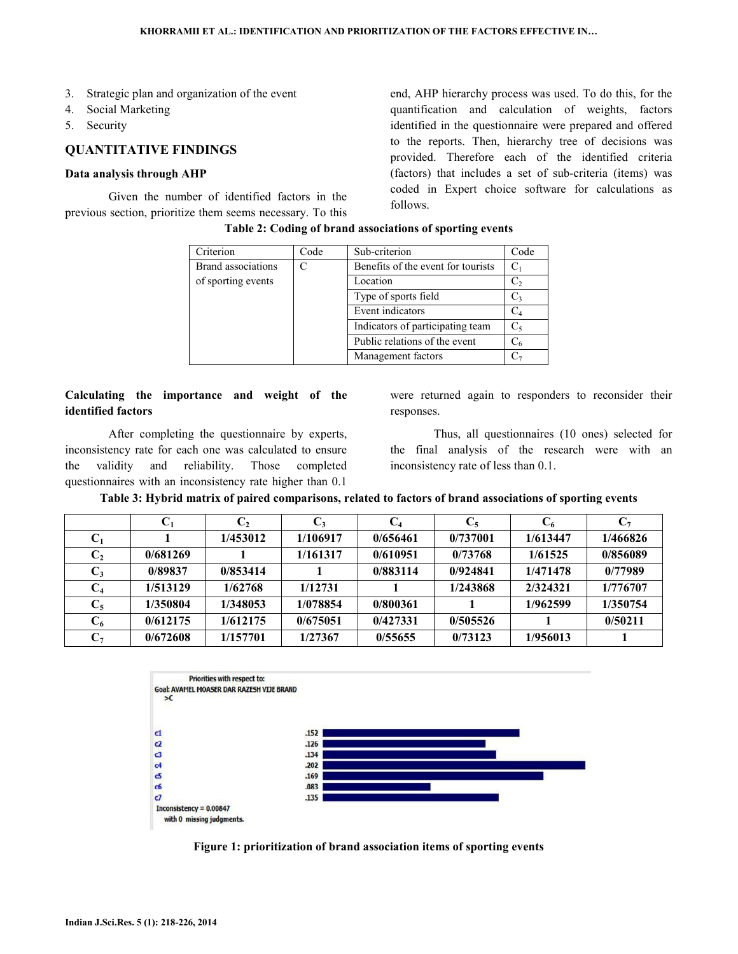- 3. Strategic plan and organization of the event
- 4. Social Marketing
- 5. Security

### QUANTITATIVE FINDINGS

#### Data analysis through AHP

 Given the number of identified factors in the previous section, prioritize them seems necessary. To this end, AHP hierarchy process was used. To do this, for the quantification and calculation of weights, factors identified in the questionnaire were prepared and offered to the reports. Then, hierarchy tree of decisions was provided. Therefore each of the identified criteria (factors) that includes a set of sub-criteria (items) was coded in Expert choice software for calculations as follows.

| Criterion                 | Code | Sub-criterion                      | Code           |
|---------------------------|------|------------------------------------|----------------|
| <b>Brand</b> associations |      | Benefits of the event for tourists | C <sub>1</sub> |
| of sporting events        |      | Location                           | C,             |
|                           |      | Type of sports field               | C3             |
|                           |      | Event indicators                   | $\rm{C_4}$     |
|                           |      | Indicators of participating team   | C,             |
|                           |      | Public relations of the event      | $\mathrm{C}_6$ |
|                           |      | Management factors                 |                |

#### Table 2: Coding of brand associations of sporting events

## Calculating the importance and weight of the identified factors

 After completing the questionnaire by experts, inconsistency rate for each one was calculated to ensure the validity and reliability. Those completed questionnaires with an inconsistency rate higher than 0.1

were returned again to responders to reconsider their responses.

 Thus, all questionnaires (10 ones) selected for the final analysis of the research were with an inconsistency rate of less than 0.1.

| Table 3: Hybrid matrix of paired comparisons, related to factors of brand associations of sporting events |  |  |  |
|-----------------------------------------------------------------------------------------------------------|--|--|--|
|                                                                                                           |  |  |  |

|                | $C_1$    | $C_2$    | $C_3$    | C4       | $C_5$    | $\bf{C}_6$ | C7       |
|----------------|----------|----------|----------|----------|----------|------------|----------|
| U1             |          | 1/453012 | 1/106917 | 0/656461 | 0/737001 | 1/613447   | 1/466826 |
| $\mathbf{C}_2$ | 0/681269 |          | 1/161317 | 0/610951 | 0/73768  | 1/61525    | 0/856089 |
| $C_3$          | 0/89837  | 0/853414 |          | 0/883114 | 0/924841 | 1/471478   | 0/77989  |
| $\bf C_4$      | 1/513129 | 1/62768  | 1/12731  |          | 1/243868 | 2/324321   | 1/776707 |
| $\mathbf{C}_5$ | 1/350804 | 1/348053 | 1/078854 | 0/800361 |          | 1/962599   | 1/350754 |
| $\mathrm{C}_6$ | 0/612175 | 1/612175 | 0/675051 | 0/427331 | 0/505526 |            | 0/50211  |
| $\mathrm{C}_7$ | 0/672608 | 1/157701 | 1/27367  | 0/55655  | 0/73123  | 1/956013   |          |



Figure 1: prioritization of brand association items of sporting events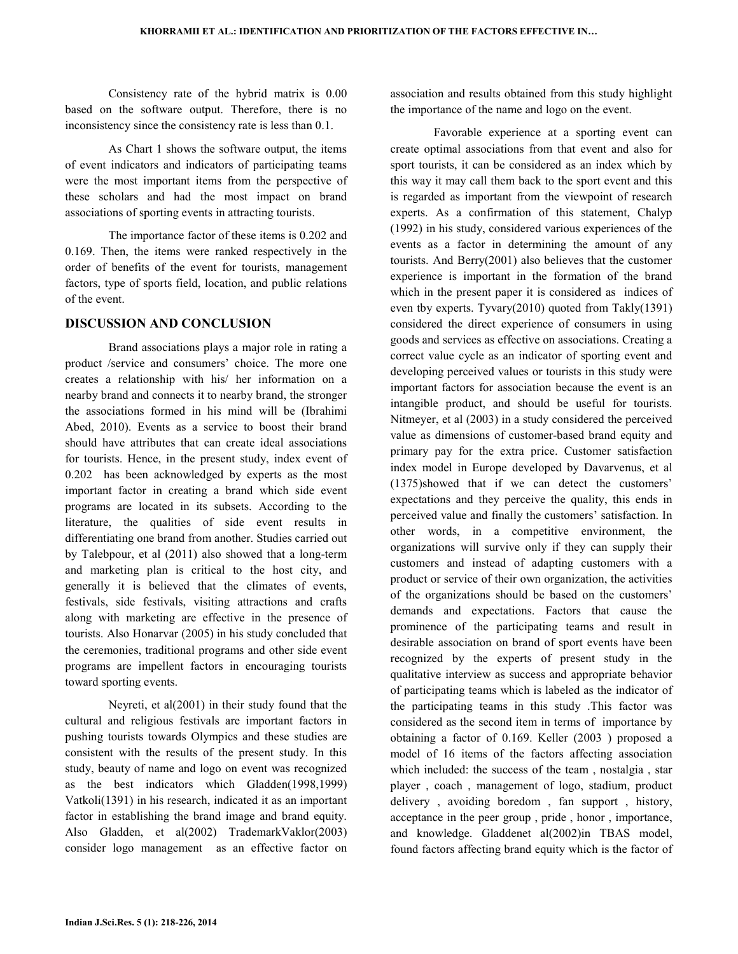Consistency rate of the hybrid matrix is 0.00 based on the software output. Therefore, there is no inconsistency since the consistency rate is less than 0.1.

 As Chart 1 shows the software output, the items of event indicators and indicators of participating teams were the most important items from the perspective of these scholars and had the most impact on brand associations of sporting events in attracting tourists.

 The importance factor of these items is 0.202 and 0.169. Then, the items were ranked respectively in the order of benefits of the event for tourists, management factors, type of sports field, location, and public relations of the event.

#### DISCUSSION AND CONCLUSION

 Brand associations plays a major role in rating a product /service and consumers' choice. The more one creates a relationship with his/ her information on a nearby brand and connects it to nearby brand, the stronger the associations formed in his mind will be (Ibrahimi Abed, 2010). Events as a service to boost their brand should have attributes that can create ideal associations for tourists. Hence, in the present study, index event of 0.202 has been acknowledged by experts as the most important factor in creating a brand which side event programs are located in its subsets. According to the literature, the qualities of side event results in differentiating one brand from another. Studies carried out by Talebpour, et al (2011) also showed that a long-term and marketing plan is critical to the host city, and generally it is believed that the climates of events, festivals, side festivals, visiting attractions and crafts along with marketing are effective in the presence of tourists. Also Honarvar (2005) in his study concluded that the ceremonies, traditional programs and other side event programs are impellent factors in encouraging tourists toward sporting events.

 Neyreti, et al(2001) in their study found that the cultural and religious festivals are important factors in pushing tourists towards Olympics and these studies are consistent with the results of the present study. In this study, beauty of name and logo on event was recognized as the best indicators which Gladden(1998,1999) Vatkoli(1391) in his research, indicated it as an important factor in establishing the brand image and brand equity. Also Gladden, et al(2002) TrademarkVaklor(2003) consider logo management as an effective factor on association and results obtained from this study highlight the importance of the name and logo on the event.

 Favorable experience at a sporting event can create optimal associations from that event and also for sport tourists, it can be considered as an index which by this way it may call them back to the sport event and this is regarded as important from the viewpoint of research experts. As a confirmation of this statement, Chalyp (1992) in his study, considered various experiences of the events as a factor in determining the amount of any tourists. And Berry(2001) also believes that the customer experience is important in the formation of the brand which in the present paper it is considered as indices of even tby experts. Tyvary(2010) quoted from Takly(1391) considered the direct experience of consumers in using goods and services as effective on associations. Creating a correct value cycle as an indicator of sporting event and developing perceived values or tourists in this study were important factors for association because the event is an intangible product, and should be useful for tourists. Nitmeyer, et al (2003) in a study considered the perceived value as dimensions of customer-based brand equity and primary pay for the extra price. Customer satisfaction index model in Europe developed by Davarvenus, et al  $(1375)$ showed that if we can detect the customers' expectations and they perceive the quality, this ends in perceived value and finally the customers' satisfaction. In other words, in a competitive environment, the organizations will survive only if they can supply their customers and instead of adapting customers with a product or service of their own organization, the activities of the organizations should be based on the customers' demands and expectations. Factors that cause the prominence of the participating teams and result in desirable association on brand of sport events have been recognized by the experts of present study in the qualitative interview as success and appropriate behavior of participating teams which is labeled as the indicator of the participating teams in this study .This factor was considered as the second item in terms of importance by obtaining a factor of 0.169. Keller (2003 ) proposed a model of 16 items of the factors affecting association which included: the success of the team , nostalgia , star player , coach , management of logo, stadium, product delivery , avoiding boredom , fan support , history, acceptance in the peer group , pride , honor , importance, and knowledge. Gladdenet al(2002)in TBAS model, found factors affecting brand equity which is the factor of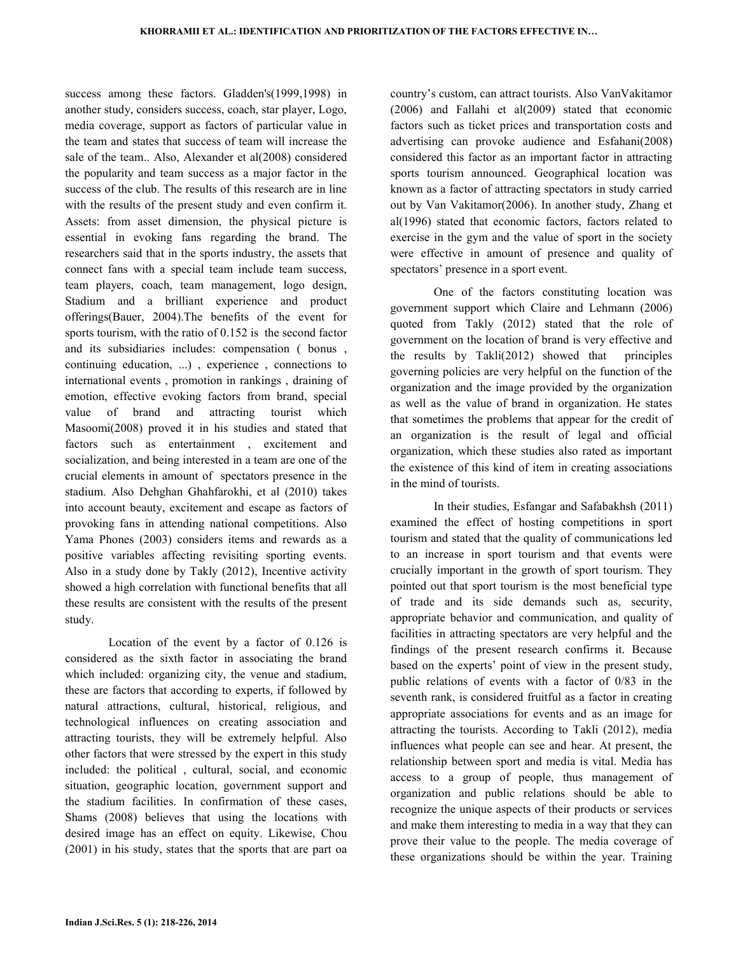success among these factors. Gladden's(1999,1998) in another study, considers success, coach, star player, Logo, media coverage, support as factors of particular value in the team and states that success of team will increase the sale of the team.. Also, Alexander et al(2008) considered the popularity and team success as a major factor in the success of the club. The results of this research are in line with the results of the present study and even confirm it. Assets: from asset dimension, the physical picture is essential in evoking fans regarding the brand. The researchers said that in the sports industry, the assets that connect fans with a special team include team success, team players, coach, team management, logo design, Stadium and a brilliant experience and product offerings(Bauer, 2004).The benefits of the event for sports tourism, with the ratio of 0.152 is the second factor and its subsidiaries includes: compensation ( bonus , continuing education, ...) , experience , connections to international events , promotion in rankings , draining of emotion, effective evoking factors from brand, special value of brand and attracting tourist which Masoomi(2008) proved it in his studies and stated that factors such as entertainment , excitement and socialization, and being interested in a team are one of the crucial elements in amount of spectators presence in the stadium. Also Dehghan Ghahfarokhi, et al (2010) takes into account beauty, excitement and escape as factors of provoking fans in attending national competitions. Also Yama Phones (2003) considers items and rewards as a positive variables affecting revisiting sporting events. Also in a study done by Takly (2012), Incentive activity showed a high correlation with functional benefits that all these results are consistent with the results of the present study.

 Location of the event by a factor of 0.126 is considered as the sixth factor in associating the brand which included: organizing city, the venue and stadium, these are factors that according to experts, if followed by natural attractions, cultural, historical, religious, and technological influences on creating association and attracting tourists, they will be extremely helpful. Also other factors that were stressed by the expert in this study included: the political , cultural, social, and economic situation, geographic location, government support and the stadium facilities. In confirmation of these cases, Shams (2008) believes that using the locations with desired image has an effect on equity. Likewise, Chou (2001) in his study, states that the sports that are part oa country's custom, can attract tourists. Also VanVakitamor (2006) and Fallahi et al(2009) stated that economic factors such as ticket prices and transportation costs and advertising can provoke audience and Esfahani(2008) considered this factor as an important factor in attracting sports tourism announced. Geographical location was known as a factor of attracting spectators in study carried out by Van Vakitamor(2006). In another study, Zhang et al(1996) stated that economic factors, factors related to exercise in the gym and the value of sport in the society were effective in amount of presence and quality of spectators' presence in a sport event.

 One of the factors constituting location was government support which Claire and Lehmann (2006) quoted from Takly (2012) stated that the role of government on the location of brand is very effective and the results by Takli(2012) showed that principles governing policies are very helpful on the function of the organization and the image provided by the organization as well as the value of brand in organization. He states that sometimes the problems that appear for the credit of an organization is the result of legal and official organization, which these studies also rated as important the existence of this kind of item in creating associations in the mind of tourists.

 In their studies, Esfangar and Safabakhsh (2011) examined the effect of hosting competitions in sport tourism and stated that the quality of communications led to an increase in sport tourism and that events were crucially important in the growth of sport tourism. They pointed out that sport tourism is the most beneficial type of trade and its side demands such as, security, appropriate behavior and communication, and quality of facilities in attracting spectators are very helpful and the findings of the present research confirms it. Because based on the experts' point of view in the present study, public relations of events with a factor of 0/83 in the seventh rank, is considered fruitful as a factor in creating appropriate associations for events and as an image for attracting the tourists. According to Takli (2012), media influences what people can see and hear. At present, the relationship between sport and media is vital. Media has access to a group of people, thus management of organization and public relations should be able to recognize the unique aspects of their products or services and make them interesting to media in a way that they can prove their value to the people. The media coverage of these organizations should be within the year. Training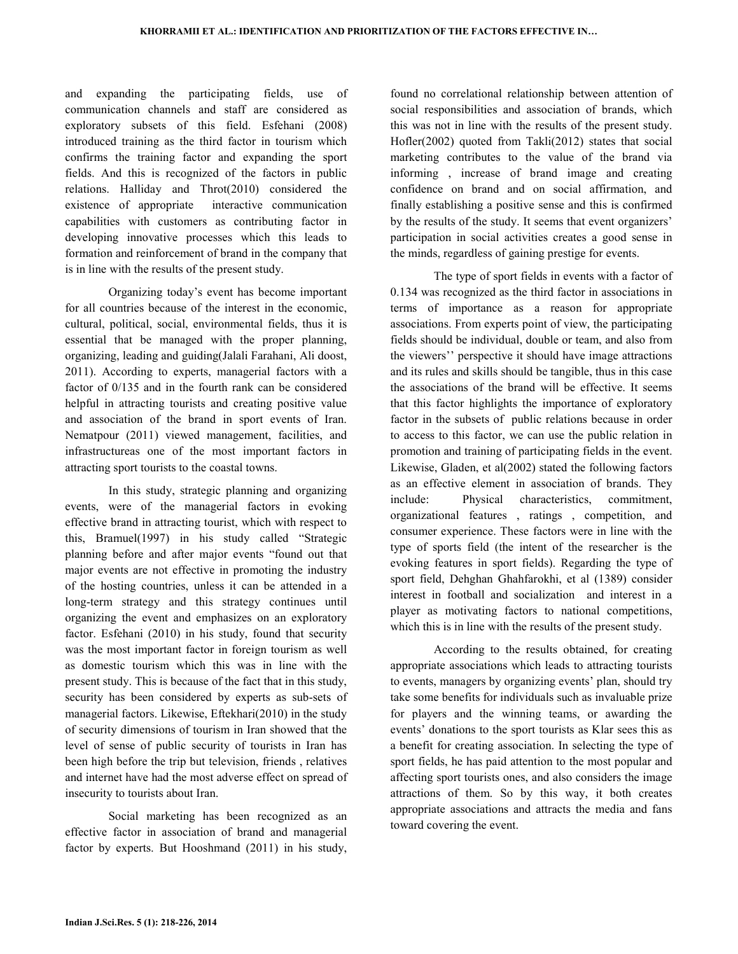and expanding the participating fields, use of communication channels and staff are considered as exploratory subsets of this field. Esfehani (2008) introduced training as the third factor in tourism which confirms the training factor and expanding the sport fields. And this is recognized of the factors in public relations. Halliday and Throt(2010) considered the existence of appropriate interactive communication capabilities with customers as contributing factor in developing innovative processes which this leads to formation and reinforcement of brand in the company that is in line with the results of the present study.

 Organizing today's event has become important for all countries because of the interest in the economic, cultural, political, social, environmental fields, thus it is essential that be managed with the proper planning, organizing, leading and guiding(Jalali Farahani, Ali doost, 2011). According to experts, managerial factors with a factor of 0/135 and in the fourth rank can be considered helpful in attracting tourists and creating positive value and association of the brand in sport events of Iran. Nematpour (2011) viewed management, facilities, and infrastructureas one of the most important factors in attracting sport tourists to the coastal towns.

 In this study, strategic planning and organizing events, were of the managerial factors in evoking effective brand in attracting tourist, which with respect to this, Bramuel(1997) in his study called "Strategic planning before and after major events "found out that major events are not effective in promoting the industry of the hosting countries, unless it can be attended in a long-term strategy and this strategy continues until organizing the event and emphasizes on an exploratory factor. Esfehani (2010) in his study, found that security was the most important factor in foreign tourism as well as domestic tourism which this was in line with the present study. This is because of the fact that in this study, security has been considered by experts as sub-sets of managerial factors. Likewise, Eftekhari(2010) in the study of security dimensions of tourism in Iran showed that the level of sense of public security of tourists in Iran has been high before the trip but television, friends , relatives and internet have had the most adverse effect on spread of insecurity to tourists about Iran.

 Social marketing has been recognized as an effective factor in association of brand and managerial factor by experts. But Hooshmand (2011) in his study,

found no correlational relationship between attention of social responsibilities and association of brands, which this was not in line with the results of the present study. Hofler(2002) quoted from Takli(2012) states that social marketing contributes to the value of the brand via informing , increase of brand image and creating confidence on brand and on social affirmation, and finally establishing a positive sense and this is confirmed by the results of the study. It seems that event organizers' participation in social activities creates a good sense in the minds, regardless of gaining prestige for events.

 The type of sport fields in events with a factor of 0.134 was recognized as the third factor in associations in terms of importance as a reason for appropriate associations. From experts point of view, the participating fields should be individual, double or team, and also from the viewers'' perspective it should have image attractions and its rules and skills should be tangible, thus in this case the associations of the brand will be effective. It seems that this factor highlights the importance of exploratory factor in the subsets of public relations because in order to access to this factor, we can use the public relation in promotion and training of participating fields in the event. Likewise, Gladen, et al(2002) stated the following factors as an effective element in association of brands. They include: Physical characteristics, commitment, organizational features , ratings , competition, and consumer experience. These factors were in line with the type of sports field (the intent of the researcher is the evoking features in sport fields). Regarding the type of sport field, Dehghan Ghahfarokhi, et al (1389) consider interest in football and socialization and interest in a player as motivating factors to national competitions, which this is in line with the results of the present study.

 According to the results obtained, for creating appropriate associations which leads to attracting tourists to events, managers by organizing events' plan, should try take some benefits for individuals such as invaluable prize for players and the winning teams, or awarding the events' donations to the sport tourists as Klar sees this as a benefit for creating association. In selecting the type of sport fields, he has paid attention to the most popular and affecting sport tourists ones, and also considers the image attractions of them. So by this way, it both creates appropriate associations and attracts the media and fans toward covering the event.